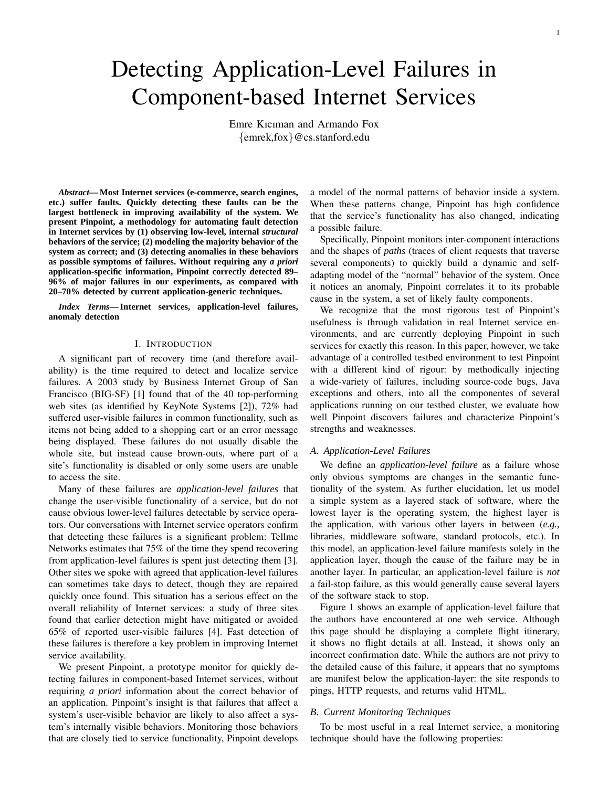# Detecting Application-Level Failures in Component-based Internet Services

Emre Kıcıman and Armando Fox {emrek,fox}@cs.stanford.edu

*Abstract***—Most Internet services (e-commerce, search engines, etc.) suffer faults. Quickly detecting these faults can be the largest bottleneck in improving availability of the system. We present Pinpoint, a methodology for automating fault detection in Internet services by (1) observing low-level, internal** *structural* **behaviors of the service; (2) modeling the majority behavior of the system as correct; and (3) detecting anomalies in these behaviors as possible symptoms of failures. Without requiring any** *a priori* **application-specific information, Pinpoint correctly detected 89– 96% of major failures in our experiments, as compared with 20–70% detected by current application-generic techniques.**

*Index Terms***—Internet services, application-level failures, anomaly detection**

## I. INTRODUCTION

A significant part of recovery time (and therefore availability) is the time required to detect and localize service failures. A 2003 study by Business Internet Group of San Francisco (BIG-SF) [1] found that of the 40 top-performing web sites (as identified by KeyNote Systems [2]), 72% had suffered user-visible failures in common functionality, such as items not being added to a shopping cart or an error message being displayed. These failures do not usually disable the whole site, but instead cause brown-outs, where part of a site's functionality is disabled or only some users are unable to access the site.

Many of these failures are *application-level failures* that change the user-visible functionality of a service, but do not cause obvious lower-level failures detectable by service operators. Our conversations with Internet service operators confirm that detecting these failures is a significant problem: Tellme Networks estimates that 75% of the time they spend recovering from application-level failures is spent just detecting them [3]. Other sites we spoke with agreed that application-level failures can sometimes take days to detect, though they are repaired quickly once found. This situation has a serious effect on the overall reliability of Internet services: a study of three sites found that earlier detection might have mitigated or avoided 65% of reported user-visible failures [4]. Fast detection of these failures is therefore a key problem in improving Internet service availability.

We present Pinpoint, a prototype monitor for quickly detecting failures in component-based Internet services, without requiring *a priori* information about the correct behavior of an application. Pinpoint's insight is that failures that affect a system's user-visible behavior are likely to also affect a system's internally visible behaviors. Monitoring those behaviors that are closely tied to service functionality, Pinpoint develops a model of the normal patterns of behavior inside a system. When these patterns change, Pinpoint has high confidence that the service's functionality has also changed, indicating a possible failure.

Specifically, Pinpoint monitors inter-component interactions and the shapes of *paths* (traces of client requests that traverse several components) to quickly build a dynamic and selfadapting model of the "normal" behavior of the system. Once it notices an anomaly, Pinpoint correlates it to its probable cause in the system, a set of likely faulty components.

We recognize that the most rigorous test of Pinpoint's usefulness is through validation in real Internet service environments, and are currently deploying Pinpoint in such services for exactly this reason. In this paper, however, we take advantage of a controlled testbed environment to test Pinpoint with a different kind of rigour: by methodically injecting a wide-variety of failures, including source-code bugs, Java exceptions and others, into all the componentes of several applications running on our testbed cluster, we evaluate how well Pinpoint discovers failures and characterize Pinpoint's strengths and weaknesses.

## *A. Application-Level Failures*

We define an *application-level failure* as a failure whose only obvious symptoms are changes in the semantic functionality of the system. As further elucidation, let us model a simple system as a layered stack of software, where the lowest layer is the operating system, the highest layer is the application, with various other layers in between (*e.g.,* libraries, middleware software, standard protocols, etc.). In this model, an application-level failure manifests solely in the application layer, though the cause of the failure may be in another layer. In particular, an application-level failure is *not* a fail-stop failure, as this would generally cause several layers of the software stack to stop.

Figure 1 shows an example of application-level failure that the authors have encountered at one web service. Although this page should be displaying a complete flight itinerary, it shows no flight details at all. Instead, it shows only an incorrect confirmation date. While the authors are not privy to the detailed cause of this failure, it appears that no symptoms are manifest below the application-layer: the site responds to pings, HTTP requests, and returns valid HTML.

#### *B. Current Monitoring Techniques*

To be most useful in a real Internet service, a monitoring technique should have the following properties: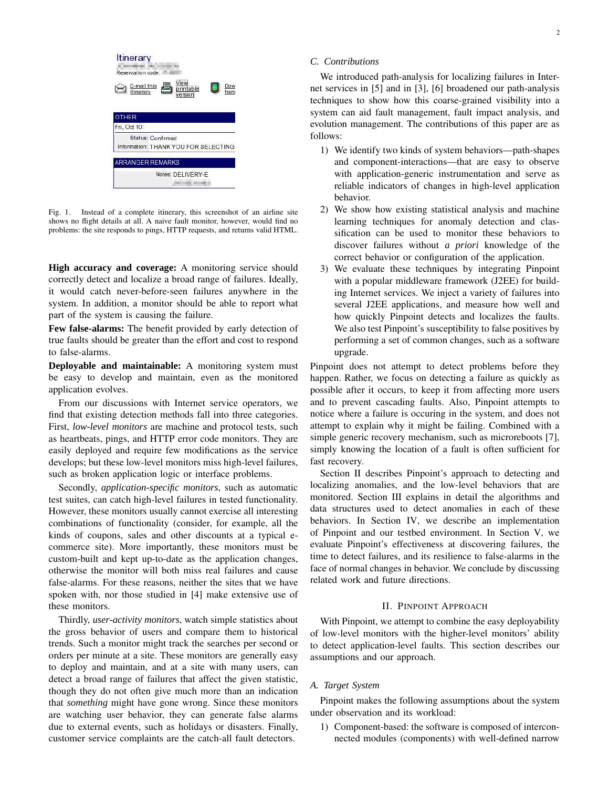

Fig. 1. Instead of a complete itinerary, this screenshot of an airline site shows no flight details at all. A naive fault monitor, however, would find no problems: the site responds to pings, HTTP requests, and returns valid HTML.

**High accuracy and coverage:** A monitoring service should correctly detect and localize a broad range of failures. Ideally, it would catch never-before-seen failures anywhere in the system. In addition, a monitor should be able to report what part of the system is causing the failure.

**Few false-alarms:** The benefit provided by early detection of true faults should be greater than the effort and cost to respond to false-alarms.

**Deployable and maintainable:** A monitoring system must be easy to develop and maintain, even as the monitored application evolves.

From our discussions with Internet service operators, we find that existing detection methods fall into three categories. First, *low-level monitors* are machine and protocol tests, such as heartbeats, pings, and HTTP error code monitors. They are easily deployed and require few modifications as the service develops; but these low-level monitors miss high-level failures, such as broken application logic or interface problems.

Secondly, *application-specific monitors*, such as automatic test suites, can catch high-level failures in tested functionality. However, these monitors usually cannot exercise all interesting combinations of functionality (consider, for example, all the kinds of coupons, sales and other discounts at a typical ecommerce site). More importantly, these monitors must be custom-built and kept up-to-date as the application changes, otherwise the monitor will both miss real failures and cause false-alarms. For these reasons, neither the sites that we have spoken with, nor those studied in [4] make extensive use of these monitors.

Thirdly, *user-activity monitors*, watch simple statistics about the gross behavior of users and compare them to historical trends. Such a monitor might track the searches per second or orders per minute at a site. These monitors are generally easy to deploy and maintain, and at a site with many users, can detect a broad range of failures that affect the given statistic, though they do not often give much more than an indication that *something* might have gone wrong. Since these monitors are watching user behavior, they can generate false alarms due to external events, such as holidays or disasters. Finally, customer service complaints are the catch-all fault detectors.

# *C. Contributions*

We introduced path-analysis for localizing failures in Internet services in [5] and in [3], [6] broadened our path-analysis techniques to show how this coarse-grained visibility into a system can aid fault management, fault impact analysis, and evolution management. The contributions of this paper are as follows:

- 1) We identify two kinds of system behaviors—path-shapes and component-interactions—that are easy to observe with application-generic instrumentation and serve as reliable indicators of changes in high-level application behavior.
- 2) We show how existing statistical analysis and machine learning techniques for anomaly detection and classification can be used to monitor these behaviors to discover failures without *a priori* knowledge of the correct behavior or configuration of the application.
- 3) We evaluate these techniques by integrating Pinpoint with a popular middleware framework (J2EE) for building Internet services. We inject a variety of failures into several J2EE applications, and measure how well and how quickly Pinpoint detects and localizes the faults. We also test Pinpoint's susceptibility to false positives by performing a set of common changes, such as a software upgrade.

Pinpoint does not attempt to detect problems before they happen. Rather, we focus on detecting a failure as quickly as possible after it occurs, to keep it from affecting more users and to prevent cascading faults. Also, Pinpoint attempts to notice where a failure is occuring in the system, and does not attempt to explain why it might be failing. Combined with a simple generic recovery mechanism, such as microreboots [7], simply knowing the location of a fault is often sufficient for fast recovery.

Section II describes Pinpoint's approach to detecting and localizing anomalies, and the low-level behaviors that are monitored. Section III explains in detail the algorithms and data structures used to detect anomalies in each of these behaviors. In Section IV, we describe an implementation of Pinpoint and our testbed environment. In Section V, we evaluate Pinpoint's effectiveness at discovering failures, the time to detect failures, and its resilience to false-alarms in the face of normal changes in behavior. We conclude by discussing related work and future directions.

# II. PINPOINT APPROACH

With Pinpoint, we attempt to combine the easy deployability of low-level monitors with the higher-level monitors' ability to detect application-level faults. This section describes our assumptions and our approach.

#### *A. Target System*

Pinpoint makes the following assumptions about the system under observation and its workload:

1) Component-based: the software is composed of interconnected modules (components) with well-defined narrow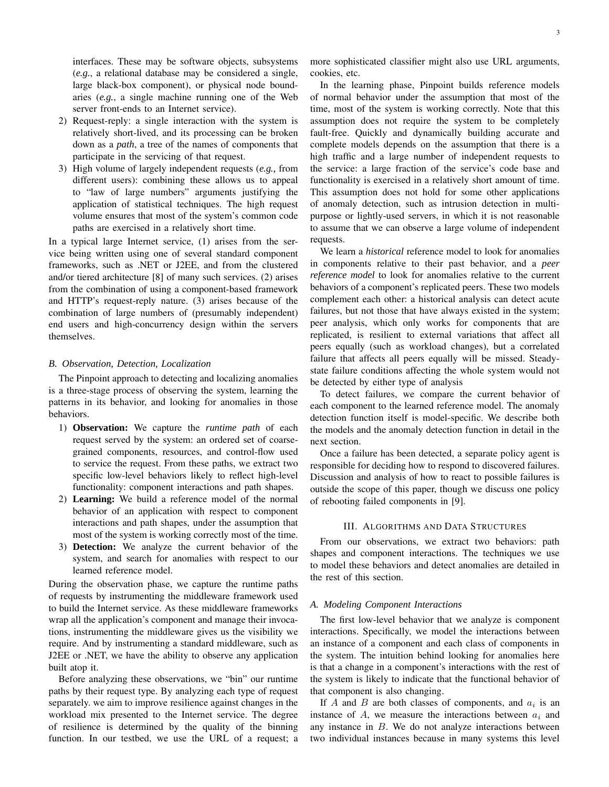interfaces. These may be software objects, subsystems (*e.g.*, a relational database may be considered a single, large black-box component), or physical node boundaries (*e.g.*, a single machine running one of the Web server front-ends to an Internet service).

- 2) Request-reply: a single interaction with the system is relatively short-lived, and its processing can be broken down as a *path*, a tree of the names of components that participate in the servicing of that request.
- 3) High volume of largely independent requests (*e.g.,* from different users): combining these allows us to appeal to "law of large numbers" arguments justifying the application of statistical techniques. The high request volume ensures that most of the system's common code paths are exercised in a relatively short time.

In a typical large Internet service, (1) arises from the service being written using one of several standard component frameworks, such as .NET or J2EE, and from the clustered and/or tiered architecture [8] of many such services. (2) arises from the combination of using a component-based framework and HTTP's request-reply nature. (3) arises because of the combination of large numbers of (presumably independent) end users and high-concurrency design within the servers themselves.

## *B. Observation, Detection, Localization*

The Pinpoint approach to detecting and localizing anomalies is a three-stage process of observing the system, learning the patterns in its behavior, and looking for anomalies in those behaviors.

- 1) **Observation:** We capture the *runtime path* of each request served by the system: an ordered set of coarsegrained components, resources, and control-flow used to service the request. From these paths, we extract two specific low-level behaviors likely to reflect high-level functionality: component interactions and path shapes.
- 2) **Learning:** We build a reference model of the normal behavior of an application with respect to component interactions and path shapes, under the assumption that most of the system is working correctly most of the time.
- 3) **Detection:** We analyze the current behavior of the system, and search for anomalies with respect to our learned reference model.

During the observation phase, we capture the runtime paths of requests by instrumenting the middleware framework used to build the Internet service. As these middleware frameworks wrap all the application's component and manage their invocations, instrumenting the middleware gives us the visibility we require. And by instrumenting a standard middleware, such as J2EE or .NET, we have the ability to observe any application built atop it.

Before analyzing these observations, we "bin" our runtime paths by their request type. By analyzing each type of request separately. we aim to improve resilience against changes in the workload mix presented to the Internet service. The degree of resilience is determined by the quality of the binning function. In our testbed, we use the URL of a request; a more sophisticated classifier might also use URL arguments, cookies, etc.

In the learning phase, Pinpoint builds reference models of normal behavior under the assumption that most of the time, most of the system is working correctly. Note that this assumption does not require the system to be completely fault-free. Quickly and dynamically building accurate and complete models depends on the assumption that there is a high traffic and a large number of independent requests to the service: a large fraction of the service's code base and functionality is exercised in a relatively short amount of time. This assumption does not hold for some other applications of anomaly detection, such as intrusion detection in multipurpose or lightly-used servers, in which it is not reasonable to assume that we can observe a large volume of independent requests.

We learn a *historical* reference model to look for anomalies in components relative to their past behavior, and a *peer reference model* to look for anomalies relative to the current behaviors of a component's replicated peers. These two models complement each other: a historical analysis can detect acute failures, but not those that have always existed in the system; peer analysis, which only works for components that are replicated, is resilient to external variations that affect all peers equally (such as workload changes), but a correlated failure that affects all peers equally will be missed. Steadystate failure conditions affecting the whole system would not be detected by either type of analysis

To detect failures, we compare the current behavior of each component to the learned reference model. The anomaly detection function itself is model-specific. We describe both the models and the anomaly detection function in detail in the next section.

Once a failure has been detected, a separate policy agent is responsible for deciding how to respond to discovered failures. Discussion and analysis of how to react to possible failures is outside the scope of this paper, though we discuss one policy of rebooting failed components in [9].

#### III. ALGORITHMS AND DATA STRUCTURES

From our observations, we extract two behaviors: path shapes and component interactions. The techniques we use to model these behaviors and detect anomalies are detailed in the rest of this section.

## *A. Modeling Component Interactions*

The first low-level behavior that we analyze is component interactions. Specifically, we model the interactions between an instance of a component and each class of components in the system. The intuition behind looking for anomalies here is that a change in a component's interactions with the rest of the system is likely to indicate that the functional behavior of that component is also changing.

If A and B are both classes of components, and  $a_i$  is an instance of  $A$ , we measure the interactions between  $a_i$  and any instance in  $B$ . We do not analyze interactions between two individual instances because in many systems this level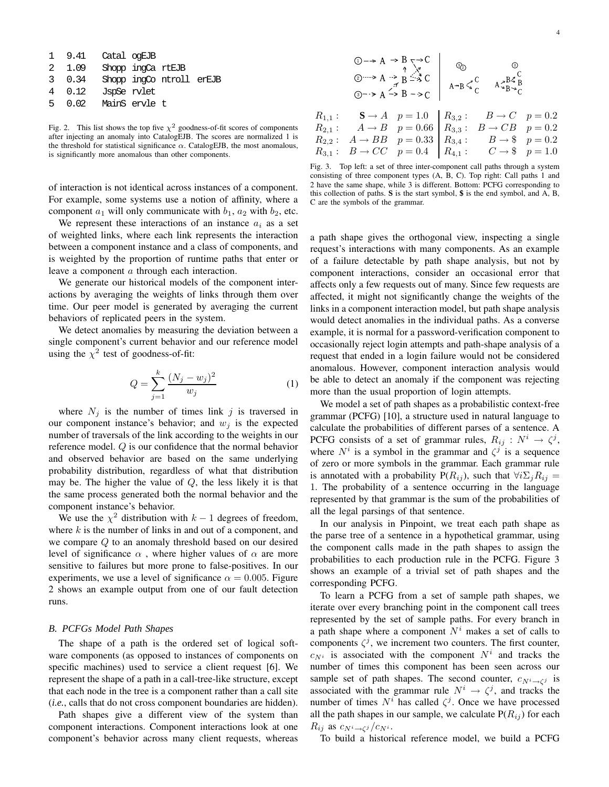| 1 9.41 Catal oqEJB |             |                   |                          |  |
|--------------------|-------------|-------------------|--------------------------|--|
| 2 1.09             |             | Shopp ingCa rtEJB |                          |  |
| $3 \t 0.34$        |             |                   | Shopp ingCo ntroll erEJB |  |
| $4 \quad 0.12$     | JspSe rvlet |                   |                          |  |
| $5 \quad 0.02$     |             | MainS ervle t     |                          |  |
|                    |             |                   |                          |  |

Fig. 2. This list shows the top five  $\chi^2$  goodness-of-fit scores of components after injecting an anomaly into CatalogEJB. The scores are normalized 1 is the threshold for statistical significance  $\alpha$ . CatalogEJB, the most anomalous, is significantly more anomalous than other components.

of interaction is not identical across instances of a component. For example, some systems use a notion of affinity, where a component  $a_1$  will only communicate with  $b_1$ ,  $a_2$  with  $b_2$ , etc.

We represent these interactions of an instance  $a_i$  as a set of weighted links, where each link represents the interaction between a component instance and a class of components, and is weighted by the proportion of runtime paths that enter or leave a component a through each interaction.

We generate our historical models of the component interactions by averaging the weights of links through them over time. Our peer model is generated by averaging the current behaviors of replicated peers in the system.

We detect anomalies by measuring the deviation between a single component's current behavior and our reference model using the  $\chi^2$  test of goodness-of-fit:

$$
Q = \sum_{j=1}^{k} \frac{(N_j - w_j)^2}{w_j} \tag{1}
$$

where  $N_j$  is the number of times link j is traversed in our component instance's behavior; and  $w_i$  is the expected number of traversals of the link according to the weights in our reference model. Q is our confidence that the normal behavior and observed behavior are based on the same underlying probability distribution, regardless of what that distribution may be. The higher the value of  $Q$ , the less likely it is that the same process generated both the normal behavior and the component instance's behavior.

We use the  $\chi^2$  distribution with  $k-1$  degrees of freedom, where  $k$  is the number of links in and out of a component, and we compare Q to an anomaly threshold based on our desired level of significance  $\alpha$ , where higher values of  $\alpha$  are more sensitive to failures but more prone to false-positives. In our experiments, we use a level of significance  $\alpha = 0.005$ . Figure 2 shows an example output from one of our fault detection runs.

#### *B. PCFGs Model Path Shapes*

The shape of a path is the ordered set of logical software components (as opposed to instances of components on specific machines) used to service a client request [6]. We represent the shape of a path in a call-tree-like structure, except that each node in the tree is a component rather than a call site (*i.e.*, calls that do not cross component boundaries are hidden).

Path shapes give a different view of the system than component interactions. Component interactions look at one component's behavior across many client requests, whereas

$$
\begin{array}{ccc}\n\textcircled{0}\rightarrow\textup{\AA}\rightarrow\textup{\AA}\rightarrow\textup{\AA}\n\\
\textcircled{0}\cdots\rightarrow\textup{\AA}\rightarrow\textup{\AA}\rightarrow\textup{\AA}\n\\
\textcircled{0}\rightarrow\textup{\AA}\rightarrow\textup{\AA}\rightarrow\textup{\AA}\n\\
\textcircled{0}\rightarrow\textup{\AA}\rightarrow\textup{\AA}\rightarrow\textup{\AA}\n\\
\textcircled{0}\rightarrow\textup{\AA}\rightarrow\textup{\AA}\rightarrow\textup{\AA}\n\\
R_{1,1}: & \mathbf{S}\rightarrow\textup{\AA}\quad p=1.0 \quad R_{3,2}: & B\rightarrow C \quad p=0.2\n\\
R_{2,1}: & A\rightarrow B \quad p=0.66 \quad R_{3,3}: & B\rightarrow CB \quad p=0.2\n\\
R_{2,2}: & A\rightarrow BB \quad p=0.33 \quad R_{3,4}: & B\rightarrow \$ \quad p=0.2\n\\
R_{3,1}: & B\rightarrow CC \quad p=0.4 \quad R_{4,1}: & C\rightarrow \$ \quad p=1.0\n\end{array}
$$

Fig. 3. Top left: a set of three inter-component call paths through a system consisting of three component types (A, B, C). Top right: Call paths 1 and 2 have the same shape, while 3 is different. Bottom: PCFG corresponding to this collection of paths. **S** is the start symbol, **\$** is the end symbol, and A, B, C are the symbols of the grammar.

a path shape gives the orthogonal view, inspecting a single request's interactions with many components. As an example of a failure detectable by path shape analysis, but not by component interactions, consider an occasional error that affects only a few requests out of many. Since few requests are affected, it might not significantly change the weights of the links in a component interaction model, but path shape analysis would detect anomalies in the individual paths. As a converse example, it is normal for a password-verification component to occasionally reject login attempts and path-shape analysis of a request that ended in a login failure would not be considered anomalous. However, component interaction analysis would be able to detect an anomaly if the component was rejecting more than the usual proportion of login attempts.

We model a set of path shapes as a probabilistic context-free grammar (PCFG) [10], a structure used in natural language to calculate the probabilities of different parses of a sentence. A PCFG consists of a set of grammar rules,  $R_{ij}: N^i \rightarrow \zeta^j$ , where  $N^i$  is a symbol in the grammar and  $\zeta^j$  is a sequence of zero or more symbols in the grammar. Each grammar rule is annotated with a probability P( $R_{ij}$ ), such that  $\forall i \sum_j R_{ij} =$ 1. The probability of a sentence occurring in the language represented by that grammar is the sum of the probabilities of all the legal parsings of that sentence.

In our analysis in Pinpoint, we treat each path shape as the parse tree of a sentence in a hypothetical grammar, using the component calls made in the path shapes to assign the probabilities to each production rule in the PCFG. Figure 3 shows an example of a trivial set of path shapes and the corresponding PCFG.

To learn a PCFG from a set of sample path shapes, we iterate over every branching point in the component call trees represented by the set of sample paths. For every branch in a path shape where a component  $N^i$  makes a set of calls to components  $\zeta^j$ , we increment two counters. The first counter,  $c_{N^i}$  is associated with the component  $N^i$  and tracks the number of times this component has been seen across our sample set of path shapes. The second counter,  $c_{N^i \to \zeta^j}$  is associated with the grammar rule  $N^i \rightarrow \zeta^j$ , and tracks the number of times  $N^i$  has called  $\zeta^j$ . Once we have processed all the path shapes in our sample, we calculate  $P(R_{ij})$  for each  $R_{ij}$  as  $c_{N^i\rightarrow \zeta^j}/c_{N^i}$ .

To build a historical reference model, we build a PCFG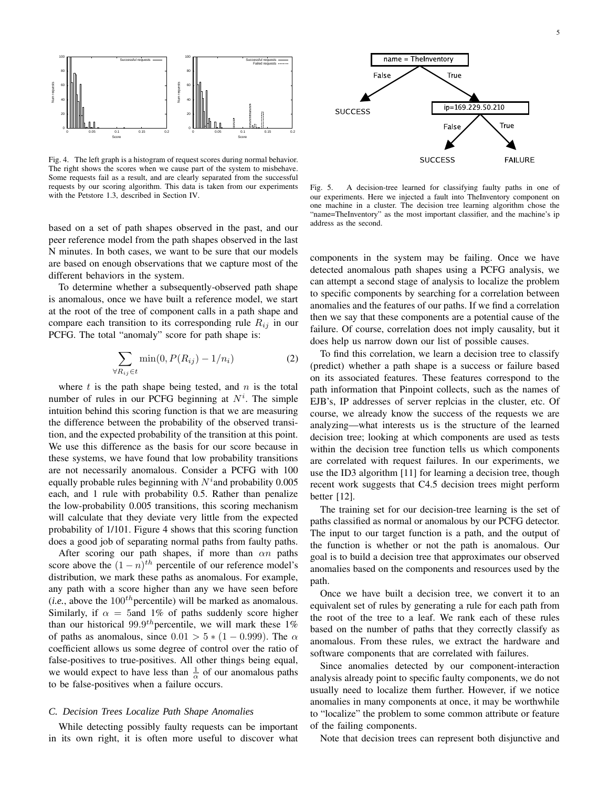

Fig. 4. The left graph is a histogram of request scores during normal behavior. The right shows the scores when we cause part of the system to misbehave. Some requests fail as a result, and are clearly separated from the successful requests by our scoring algorithm. This data is taken from our experiments with the Petstore 1.3, described in Section IV.

based on a set of path shapes observed in the past, and our peer reference model from the path shapes observed in the last N minutes. In both cases, we want to be sure that our models are based on enough observations that we capture most of the different behaviors in the system.

To determine whether a subsequently-observed path shape is anomalous, once we have built a reference model, we start at the root of the tree of component calls in a path shape and compare each transition to its corresponding rule  $R_{ij}$  in our PCFG. The total "anomaly" score for path shape is:

$$
\sum_{\forall R_{ij}\in t} \min(0, P(R_{ij}) - 1/n_i)
$$
 (2)

where  $t$  is the path shape being tested, and  $n$  is the total number of rules in our PCFG beginning at  $N<sup>i</sup>$ . The simple intuition behind this scoring function is that we are measuring the difference between the probability of the observed transition, and the expected probability of the transition at this point. We use this difference as the basis for our score because in these systems, we have found that low probability transitions are not necessarily anomalous. Consider a PCFG with 100 equally probable rules beginning with  $N^i$  and probability 0.005 each, and 1 rule with probability 0.5. Rather than penalize the low-probability 0.005 transitions, this scoring mechanism will calculate that they deviate very little from the expected probability of 1/101. Figure 4 shows that this scoring function does a good job of separating normal paths from faulty paths.

After scoring our path shapes, if more than  $\alpha n$  paths score above the  $(1 - n)^{th}$  percentile of our reference model's distribution, we mark these paths as anomalous. For example, any path with a score higher than any we have seen before  $(i.e., above the 100<sup>th</sup> percentile)$  will be marked as anomalous. Similarly, if  $\alpha = 5$  and 1% of paths suddenly score higher than our historical  $99.9^{th}$  percentile, we will mark these  $1\%$ of paths as anomalous, since  $0.01 > 5 * (1 - 0.999)$ . The  $\alpha$ coefficient allows us some degree of control over the ratio of false-positives to true-positives. All other things being equal, we would expect to have less than  $\frac{1}{\alpha}$  of our anomalous paths to be false-positives when a failure occurs.

## *C. Decision Trees Localize Path Shape Anomalies*

While detecting possibly faulty requests can be important in its own right, it is often more useful to discover what



Fig. 5. A decision-tree learned for classifying faulty paths in one of our experiments. Here we injected a fault into TheInventory component on one machine in a cluster. The decision tree learning algorithm chose the "name=TheInventory" as the most important classifier, and the machine's ip address as the second.

components in the system may be failing. Once we have detected anomalous path shapes using a PCFG analysis, we can attempt a second stage of analysis to localize the problem to specific components by searching for a correlation between anomalies and the features of our paths. If we find a correlation then we say that these components are a potential cause of the failure. Of course, correlation does not imply causality, but it does help us narrow down our list of possible causes.

To find this correlation, we learn a decision tree to classify (predict) whether a path shape is a success or failure based on its associated features. These features correspond to the path information that Pinpoint collects, such as the names of EJB's, IP addresses of server replcias in the cluster, etc. Of course, we already know the success of the requests we are analyzing—what interests us is the structure of the learned decision tree; looking at which components are used as tests within the decision tree function tells us which components are correlated with request failures. In our experiments, we use the ID3 algorithm [11] for learning a decision tree, though recent work suggests that C4.5 decision trees might perform better [12].

The training set for our decision-tree learning is the set of paths classified as normal or anomalous by our PCFG detector. The input to our target function is a path, and the output of the function is whether or not the path is anomalous. Our goal is to build a decision tree that approximates our observed anomalies based on the components and resources used by the path.

Once we have built a decision tree, we convert it to an equivalent set of rules by generating a rule for each path from the root of the tree to a leaf. We rank each of these rules based on the number of paths that they correctly classify as anomalous. From these rules, we extract the hardware and software components that are correlated with failures.

Since anomalies detected by our component-interaction analysis already point to specific faulty components, we do not usually need to localize them further. However, if we notice anomalies in many components at once, it may be worthwhile to "localize" the problem to some common attribute or feature of the failing components.

Note that decision trees can represent both disjunctive and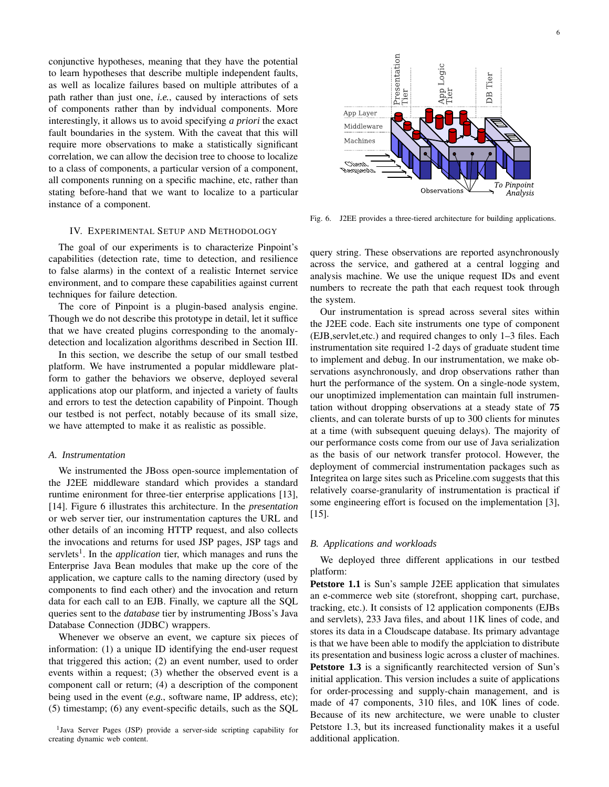conjunctive hypotheses, meaning that they have the potential to learn hypotheses that describe multiple independent faults, as well as localize failures based on multiple attributes of a path rather than just one, *i.e.*, caused by interactions of sets of components rather than by indvidual components. More interestingly, it allows us to avoid specifying *a priori* the exact fault boundaries in the system. With the caveat that this will require more observations to make a statistically significant correlation, we can allow the decision tree to choose to localize to a class of components, a particular version of a component, all components running on a specific machine, etc, rather than stating before-hand that we want to localize to a particular instance of a component.

## IV. EXPERIMENTAL SETUP AND METHODOLOGY

The goal of our experiments is to characterize Pinpoint's capabilities (detection rate, time to detection, and resilience to false alarms) in the context of a realistic Internet service environment, and to compare these capabilities against current techniques for failure detection.

The core of Pinpoint is a plugin-based analysis engine. Though we do not describe this prototype in detail, let it suffice that we have created plugins corresponding to the anomalydetection and localization algorithms described in Section III.

In this section, we describe the setup of our small testbed platform. We have instrumented a popular middleware platform to gather the behaviors we observe, deployed several applications atop our platform, and injected a variety of faults and errors to test the detection capability of Pinpoint. Though our testbed is not perfect, notably because of its small size, we have attempted to make it as realistic as possible.

### *A. Instrumentation*

We instrumented the JBoss open-source implementation of the J2EE middleware standard which provides a standard runtime enironment for three-tier enterprise applications [13], [14]. Figure 6 illustrates this architecture. In the *presentation* or web server tier, our instrumentation captures the URL and other details of an incoming HTTP request, and also collects the invocations and returns for used JSP pages, JSP tags and servlets<sup>1</sup>. In the *application* tier, which manages and runs the Enterprise Java Bean modules that make up the core of the application, we capture calls to the naming directory (used by components to find each other) and the invocation and return data for each call to an EJB. Finally, we capture all the SQL queries sent to the *database* tier by instrumenting JBoss's Java Database Connection (JDBC) wrappers.

Whenever we observe an event, we capture six pieces of information: (1) a unique ID identifying the end-user request that triggered this action; (2) an event number, used to order events within a request; (3) whether the observed event is a component call or return; (4) a description of the component being used in the event (*e.g.*, software name, IP address, etc); (5) timestamp; (6) any event-specific details, such as the SQL

<sup>1</sup>Java Server Pages (JSP) provide a server-side scripting capability for creating dynamic web content.



Fig. 6. J2EE provides a three-tiered architecture for building applications.

query string. These observations are reported asynchronously across the service, and gathered at a central logging and analysis machine. We use the unique request IDs and event numbers to recreate the path that each request took through the system.

Our instrumentation is spread across several sites within the J2EE code. Each site instruments one type of component (EJB,servlet,etc.) and required changes to only 1–3 files. Each instrumentation site required 1-2 days of graduate student time to implement and debug. In our instrumentation, we make observations asynchronously, and drop observations rather than hurt the performance of the system. On a single-node system, our unoptimized implementation can maintain full instrumentation without dropping observations at a steady state of **75** clients, and can tolerate bursts of up to 300 clients for minutes at a time (with subsequent queuing delays). The majority of our performance costs come from our use of Java serialization as the basis of our network transfer protocol. However, the deployment of commercial instrumentation packages such as Integritea on large sites such as Priceline.com suggests that this relatively coarse-granularity of instrumentation is practical if some engineering effort is focused on the implementation [3], [15].

## *B. Applications and workloads*

We deployed three different applications in our testbed platform:

**Petstore 1.1** is Sun's sample J2EE application that simulates an e-commerce web site (storefront, shopping cart, purchase, tracking, etc.). It consists of 12 application components (EJBs and servlets), 233 Java files, and about 11K lines of code, and stores its data in a Cloudscape database. Its primary advantage is that we have been able to modify the applciation to distribute its presentation and business logic across a cluster of machines. **Petstore 1.3** is a significantly rearchitected version of Sun's initial application. This version includes a suite of applications for order-processing and supply-chain management, and is made of 47 components, 310 files, and 10K lines of code. Because of its new architecture, we were unable to cluster Petstore 1.3, but its increased functionality makes it a useful additional application.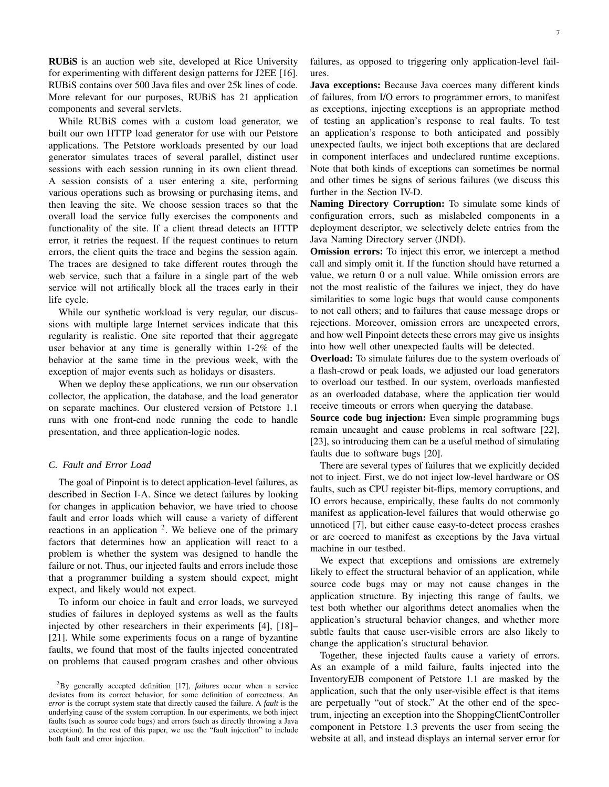**RUBiS** is an auction web site, developed at Rice University for experimenting with different design patterns for J2EE [16]. RUBiS contains over 500 Java files and over 25k lines of code. More relevant for our purposes, RUBiS has 21 application components and several servlets.

While RUBiS comes with a custom load generator, we built our own HTTP load generator for use with our Petstore applications. The Petstore workloads presented by our load generator simulates traces of several parallel, distinct user sessions with each session running in its own client thread. A session consists of a user entering a site, performing various operations such as browsing or purchasing items, and then leaving the site. We choose session traces so that the overall load the service fully exercises the components and functionality of the site. If a client thread detects an HTTP error, it retries the request. If the request continues to return errors, the client quits the trace and begins the session again. The traces are designed to take different routes through the web service, such that a failure in a single part of the web service will not artifically block all the traces early in their life cycle.

While our synthetic workload is very regular, our discussions with multiple large Internet services indicate that this regularity is realistic. One site reported that their aggregate user behavior at any time is generally within 1-2% of the behavior at the same time in the previous week, with the exception of major events such as holidays or disasters.

When we deploy these applications, we run our observation collector, the application, the database, and the load generator on separate machines. Our clustered version of Petstore 1.1 runs with one front-end node running the code to handle presentation, and three application-logic nodes.

## *C. Fault and Error Load*

The goal of Pinpoint is to detect application-level failures, as described in Section I-A. Since we detect failures by looking for changes in application behavior, we have tried to choose fault and error loads which will cause a variety of different reactions in an application  $2$ . We believe one of the primary factors that determines how an application will react to a problem is whether the system was designed to handle the failure or not. Thus, our injected faults and errors include those that a programmer building a system should expect, might expect, and likely would not expect.

To inform our choice in fault and error loads, we surveyed studies of failures in deployed systems as well as the faults injected by other researchers in their experiments [4], [18]– [21]. While some experiments focus on a range of byzantine faults, we found that most of the faults injected concentrated on problems that caused program crashes and other obvious failures, as opposed to triggering only application-level failures.

**Java exceptions:** Because Java coerces many different kinds of failures, from I/O errors to programmer errors, to manifest as exceptions, injecting exceptions is an appropriate method of testing an application's response to real faults. To test an application's response to both anticipated and possibly unexpected faults, we inject both exceptions that are declared in component interfaces and undeclared runtime exceptions. Note that both kinds of exceptions can sometimes be normal and other times be signs of serious failures (we discuss this further in the Section IV-D.

**Naming Directory Corruption:** To simulate some kinds of configuration errors, such as mislabeled components in a deployment descriptor, we selectively delete entries from the Java Naming Directory server (JNDI).

**Omission errors:** To inject this error, we intercept a method call and simply omit it. If the function should have returned a value, we return 0 or a null value. While omission errors are not the most realistic of the failures we inject, they do have similarities to some logic bugs that would cause components to not call others; and to failures that cause message drops or rejections. Moreover, omission errors are unexpected errors, and how well Pinpoint detects these errors may give us insights into how well other unexpected faults will be detected.

**Overload:** To simulate failures due to the system overloads of a flash-crowd or peak loads, we adjusted our load generators to overload our testbed. In our system, overloads manfiested as an overloaded database, where the application tier would receive timeouts or errors when querying the database.

**Source code bug injection:** Even simple programming bugs remain uncaught and cause problems in real software [22], [23], so introducing them can be a useful method of simulating faults due to software bugs [20].

There are several types of failures that we explicitly decided not to inject. First, we do not inject low-level hardware or OS faults, such as CPU register bit-flips, memory corruptions, and IO errors because, empirically, these faults do not commonly manifest as application-level failures that would otherwise go unnoticed [7], but either cause easy-to-detect process crashes or are coerced to manifest as exceptions by the Java virtual machine in our testbed.

We expect that exceptions and omissions are extremely likely to effect the structural behavior of an application, while source code bugs may or may not cause changes in the application structure. By injecting this range of faults, we test both whether our algorithms detect anomalies when the application's structural behavior changes, and whether more subtle faults that cause user-visible errors are also likely to change the application's structural behavior.

Together, these injected faults cause a variety of errors. As an example of a mild failure, faults injected into the InventoryEJB component of Petstore 1.1 are masked by the application, such that the only user-visible effect is that items are perpetually "out of stock." At the other end of the spectrum, injecting an exception into the ShoppingClientController component in Petstore 1.3 prevents the user from seeing the website at all, and instead displays an internal server error for

<sup>2</sup>By generally accepted definition [17], *failures* occur when a service deviates from its correct behavior, for some definition of correctness. An *error* is the corrupt system state that directly caused the failure. A *fault* is the underlying cause of the system corruption. In our experiments, we both inject faults (such as source code bugs) and errors (such as directly throwing a Java exception). In the rest of this paper, we use the "fault injection" to include both fault and error injection.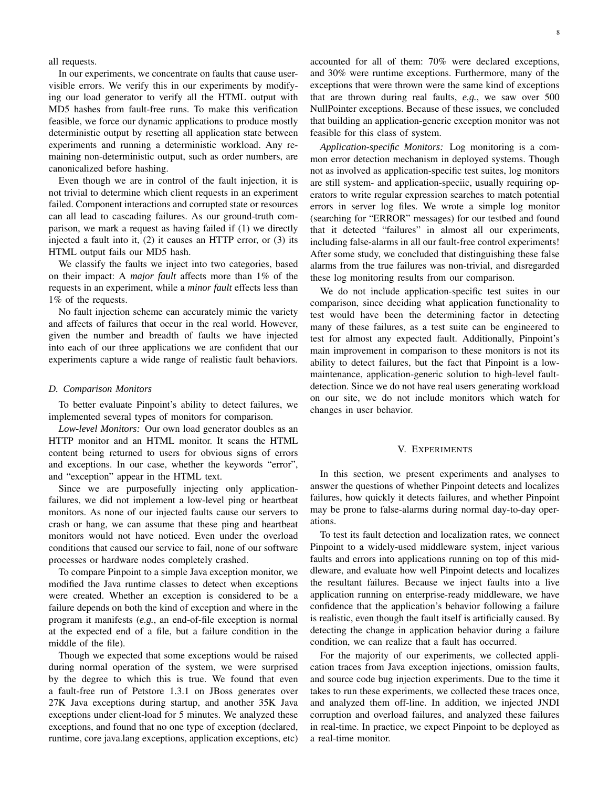all requests.

In our experiments, we concentrate on faults that cause uservisible errors. We verify this in our experiments by modifying our load generator to verify all the HTML output with MD5 hashes from fault-free runs. To make this verification feasible, we force our dynamic applications to produce mostly deterministic output by resetting all application state between experiments and running a deterministic workload. Any remaining non-deterministic output, such as order numbers, are canonicalized before hashing.

Even though we are in control of the fault injection, it is not trivial to determine which client requests in an experiment failed. Component interactions and corrupted state or resources can all lead to cascading failures. As our ground-truth comparison, we mark a request as having failed if (1) we directly injected a fault into it, (2) it causes an HTTP error, or (3) its HTML output fails our MD5 hash.

We classify the faults we inject into two categories, based on their impact: A *major fault* affects more than 1% of the requests in an experiment, while a *minor fault* effects less than 1% of the requests.

No fault injection scheme can accurately mimic the variety and affects of failures that occur in the real world. However, given the number and breadth of faults we have injected into each of our three applications we are confident that our experiments capture a wide range of realistic fault behaviors.

## *D. Comparison Monitors*

To better evaluate Pinpoint's ability to detect failures, we implemented several types of monitors for comparison.

*Low-level Monitors:* Our own load generator doubles as an HTTP monitor and an HTML monitor. It scans the HTML content being returned to users for obvious signs of errors and exceptions. In our case, whether the keywords "error", and "exception" appear in the HTML text.

Since we are purposefully injecting only applicationfailures, we did not implement a low-level ping or heartbeat monitors. As none of our injected faults cause our servers to crash or hang, we can assume that these ping and heartbeat monitors would not have noticed. Even under the overload conditions that caused our service to fail, none of our software processes or hardware nodes completely crashed.

To compare Pinpoint to a simple Java exception monitor, we modified the Java runtime classes to detect when exceptions were created. Whether an exception is considered to be a failure depends on both the kind of exception and where in the program it manifests (*e.g.*, an end-of-file exception is normal at the expected end of a file, but a failure condition in the middle of the file).

Though we expected that some exceptions would be raised during normal operation of the system, we were surprised by the degree to which this is true. We found that even a fault-free run of Petstore 1.3.1 on JBoss generates over 27K Java exceptions during startup, and another 35K Java exceptions under client-load for 5 minutes. We analyzed these exceptions, and found that no one type of exception (declared, runtime, core java.lang exceptions, application exceptions, etc) accounted for all of them: 70% were declared exceptions, and 30% were runtime exceptions. Furthermore, many of the exceptions that were thrown were the same kind of exceptions that are thrown during real faults, *e.g.*, we saw over 500 NullPointer exceptions. Because of these issues, we concluded that building an application-generic exception monitor was not feasible for this class of system.

*Application-specific Monitors:* Log monitoring is a common error detection mechanism in deployed systems. Though not as involved as application-specific test suites, log monitors are still system- and application-speciic, usually requiring operators to write regular expression searches to match potential errors in server log files. We wrote a simple log monitor (searching for "ERROR" messages) for our testbed and found that it detected "failures" in almost all our experiments, including false-alarms in all our fault-free control experiments! After some study, we concluded that distinguishing these false alarms from the true failures was non-trivial, and disregarded these log monitoring results from our comparison.

We do not include application-specific test suites in our comparison, since deciding what application functionality to test would have been the determining factor in detecting many of these failures, as a test suite can be engineered to test for almost any expected fault. Additionally, Pinpoint's main improvement in comparison to these monitors is not its ability to detect failures, but the fact that Pinpoint is a lowmaintenance, application-generic solution to high-level faultdetection. Since we do not have real users generating workload on our site, we do not include monitors which watch for changes in user behavior.

## V. EXPERIMENTS

In this section, we present experiments and analyses to answer the questions of whether Pinpoint detects and localizes failures, how quickly it detects failures, and whether Pinpoint may be prone to false-alarms during normal day-to-day operations.

To test its fault detection and localization rates, we connect Pinpoint to a widely-used middleware system, inject various faults and errors into applications running on top of this middleware, and evaluate how well Pinpoint detects and localizes the resultant failures. Because we inject faults into a live application running on enterprise-ready middleware, we have confidence that the application's behavior following a failure is realistic, even though the fault itself is artificially caused. By detecting the change in application behavior during a failure condition, we can realize that a fault has occurred.

For the majority of our experiments, we collected application traces from Java exception injections, omission faults, and source code bug injection experiments. Due to the time it takes to run these experiments, we collected these traces once, and analyzed them off-line. In addition, we injected JNDI corruption and overload failures, and analyzed these failures in real-time. In practice, we expect Pinpoint to be deployed as a real-time monitor.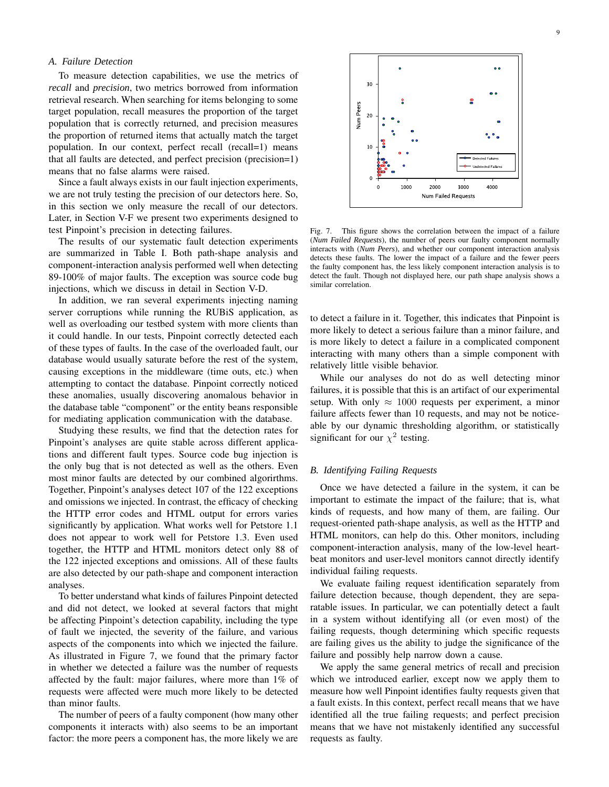## *A. Failure Detection*

To measure detection capabilities, we use the metrics of *recall* and *precision*, two metrics borrowed from information retrieval research. When searching for items belonging to some target population, recall measures the proportion of the target population that is correctly returned, and precision measures the proportion of returned items that actually match the target population. In our context, perfect recall (recall=1) means that all faults are detected, and perfect precision (precision=1) means that no false alarms were raised.

Since a fault always exists in our fault injection experiments, we are not truly testing the precision of our detectors here. So, in this section we only measure the recall of our detectors. Later, in Section V-F we present two experiments designed to test Pinpoint's precision in detecting failures.

The results of our systematic fault detection experiments are summarized in Table I. Both path-shape analysis and component-interaction analysis performed well when detecting 89-100% of major faults. The exception was source code bug injections, which we discuss in detail in Section V-D.

In addition, we ran several experiments injecting naming server corruptions while running the RUBiS application, as well as overloading our testbed system with more clients than it could handle. In our tests, Pinpoint correctly detected each of these types of faults. In the case of the overloaded fault, our database would usually saturate before the rest of the system, causing exceptions in the middleware (time outs, etc.) when attempting to contact the database. Pinpoint correctly noticed these anomalies, usually discovering anomalous behavior in the database table "component" or the entity beans responsible for mediating application communication with the database.

Studying these results, we find that the detection rates for Pinpoint's analyses are quite stable across different applications and different fault types. Source code bug injection is the only bug that is not detected as well as the others. Even most minor faults are detected by our combined algorirthms. Together, Pinpoint's analyses detect 107 of the 122 exceptions and omissions we injected. In contrast, the efficacy of checking the HTTP error codes and HTML output for errors varies significantly by application. What works well for Petstore 1.1 does not appear to work well for Petstore 1.3. Even used together, the HTTP and HTML monitors detect only 88 of the 122 injected exceptions and omissions. All of these faults are also detected by our path-shape and component interaction analyses.

To better understand what kinds of failures Pinpoint detected and did not detect, we looked at several factors that might be affecting Pinpoint's detection capability, including the type of fault we injected, the severity of the failure, and various aspects of the components into which we injected the failure. As illustrated in Figure 7, we found that the primary factor in whether we detected a failure was the number of requests affected by the fault: major failures, where more than 1% of requests were affected were much more likely to be detected than minor faults.

The number of peers of a faulty component (how many other components it interacts with) also seems to be an important factor: the more peers a component has, the more likely we are



Fig. 7. This figure shows the correlation between the impact of a failure (*Num Failed Requests*), the number of peers our faulty component normally interacts with (*Num Peers*), and whether our component interaction analysis detects these faults. The lower the impact of a failure and the fewer peers the faulty component has, the less likely component interaction analysis is to detect the fault. Though not displayed here, our path shape analysis shows a similar correlation.

to detect a failure in it. Together, this indicates that Pinpoint is more likely to detect a serious failure than a minor failure, and is more likely to detect a failure in a complicated component interacting with many others than a simple component with relatively little visible behavior.

While our analyses do not do as well detecting minor failures, it is possible that this is an artifact of our experimental setup. With only  $\approx 1000$  requests per experiment, a minor failure affects fewer than 10 requests, and may not be noticeable by our dynamic thresholding algorithm, or statistically significant for our  $\chi^2$  testing.

## *B. Identifying Failing Requests*

Once we have detected a failure in the system, it can be important to estimate the impact of the failure; that is, what kinds of requests, and how many of them, are failing. Our request-oriented path-shape analysis, as well as the HTTP and HTML monitors, can help do this. Other monitors, including component-interaction analysis, many of the low-level heartbeat monitors and user-level monitors cannot directly identify individual failing requests.

We evaluate failing request identification separately from failure detection because, though dependent, they are separatable issues. In particular, we can potentially detect a fault in a system without identifying all (or even most) of the failing requests, though determining which specific requests are failing gives us the ability to judge the significance of the failure and possibly help narrow down a cause.

We apply the same general metrics of recall and precision which we introduced earlier, except now we apply them to measure how well Pinpoint identifies faulty requests given that a fault exists. In this context, perfect recall means that we have identified all the true failing requests; and perfect precision means that we have not mistakenly identified any successful requests as faulty.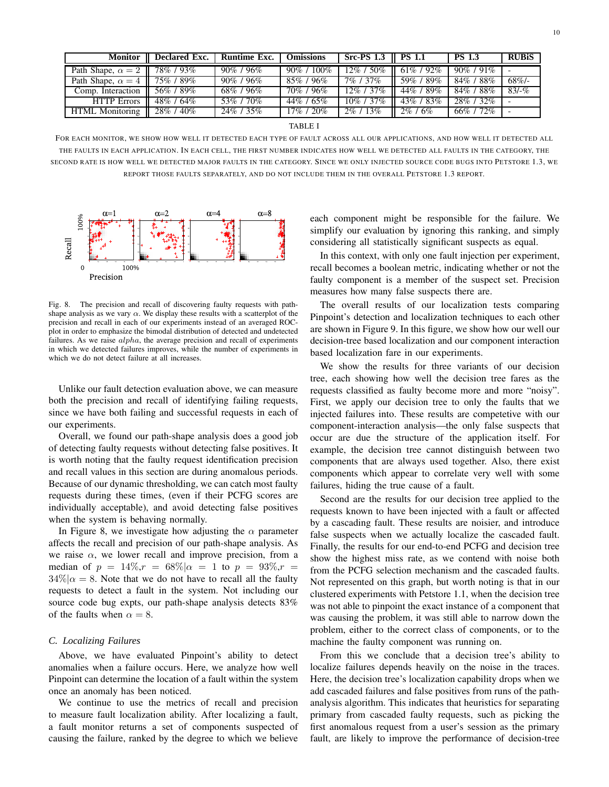|                          | Monitor    Declared Exc.   Runtime Exc. |                 | <b>Omissions</b> | Src-PS 1.3    PS 1.1                                     |                         | <b>PS 1.3</b> | <b>RUBIS</b> |
|--------------------------|-----------------------------------------|-----------------|------------------|----------------------------------------------------------|-------------------------|---------------|--------------|
| Path Shape, $\alpha = 2$ | 78% / 93%                               | $90\%$ / $96\%$ | $90\%$ / $100\%$ | $\frac{12\%}{12\%}\frac{150\%}{161\%}\frac{10\%}{192\%}$ |                         | $90\%$ / 91\% |              |
| Path Shape, $\alpha = 4$ | 75% / 89%                               | $90\%$ / $96\%$ | 85% / 96%        | 7% / 37%                                                 | $59\%$ / 89%            | 84% / 88%     | $68\%$ /-    |
| Comp. Interaction        | 56% / 89%                               | 68% / 96%       | 70\% / 96\%      | 12\% / 37\%                                              | 44% / 89%               | 84\% / 88\%   | $83/-%$      |
| <b>HTTP</b> Errors       | 48\% / 64\%                             | 53\% / 70\%     | 44\% / 65\%      | $10\%$ / 37\%                                            | $\parallel$ 43\% / 83\% | 28% / 32%     |              |
| <b>HTML</b> Monitoring   | 28\% / 40\%                             | 24\% / 35\%     | 17\% / 20\%      | $2\%$ / $13\%$                                           | $2\%$ / 6\%             | 66% / 72%     |              |
|                          |                                         |                 |                  |                                                          |                         |               |              |

TABLE I

FOR EACH MONITOR, WE SHOW HOW WELL IT DETECTED EACH TYPE OF FAULT ACROSS ALL OUR APPLICATIONS, AND HOW WELL IT DETECTED ALL THE FAULTS IN EACH APPLICATION. IN EACH CELL, THE FIRST NUMBER INDICATES HOW WELL WE DETECTED ALL FAULTS IN THE CATEGORY, THE SECOND RATE IS HOW WELL WE DETECTED MAJOR FAULTS IN THE CATEGORY. SINCE WE ONLY INJECTED SOURCE CODE BUGS INTO PETSTORE 1.3, WE REPORT THOSE FAULTS SEPARATELY, AND DO NOT INCLUDE THEM IN THE OVERALL PETSTORE 1.3 REPORT.



Fig. 8. The precision and recall of discovering faulty requests with pathshape analysis as we vary  $\alpha$ . We display these results with a scatterplot of the precision and recall in each of our experiments instead of an averaged ROCplot in order to emphasize the bimodal distribution of detected and undetected failures. As we raise  $alpha$ , the average precision and recall of experiments in which we detected failures improves, while the number of experiments in which we do not detect failure at all increases.

Unlike our fault detection evaluation above, we can measure both the precision and recall of identifying failing requests, since we have both failing and successful requests in each of our experiments.

Overall, we found our path-shape analysis does a good job of detecting faulty requests without detecting false positives. It is worth noting that the faulty request identification precision and recall values in this section are during anomalous periods. Because of our dynamic thresholding, we can catch most faulty requests during these times, (even if their PCFG scores are individually acceptable), and avoid detecting false positives when the system is behaving normally.

In Figure 8, we investigate how adjusting the  $\alpha$  parameter affects the recall and precision of our path-shape analysis. As we raise  $\alpha$ , we lower recall and improve precision, from a median of  $p = 14\%, r = 68\%|\alpha = 1$  to  $p = 93\%, r =$  $34\%|\alpha = 8$ . Note that we do not have to recall all the faulty requests to detect a fault in the system. Not including our source code bug expts, our path-shape analysis detects 83% of the faults when  $\alpha = 8$ .

## *C. Localizing Failures*

Above, we have evaluated Pinpoint's ability to detect anomalies when a failure occurs. Here, we analyze how well Pinpoint can determine the location of a fault within the system once an anomaly has been noticed.

We continue to use the metrics of recall and precision to measure fault localization ability. After localizing a fault, a fault monitor returns a set of components suspected of causing the failure, ranked by the degree to which we believe each component might be responsible for the failure. We simplify our evaluation by ignoring this ranking, and simply considering all statistically significant suspects as equal.

In this context, with only one fault injection per experiment, recall becomes a boolean metric, indicating whether or not the faulty component is a member of the suspect set. Precision measures how many false suspects there are.

The overall results of our localization tests comparing Pinpoint's detection and localization techniques to each other are shown in Figure 9. In this figure, we show how our well our decision-tree based localization and our component interaction based localization fare in our experiments.

We show the results for three variants of our decision tree, each showing how well the decision tree fares as the requests classified as faulty become more and more "noisy". First, we apply our decision tree to only the faults that we injected failures into. These results are competetive with our component-interaction analysis—the only false suspects that occur are due the structure of the application itself. For example, the decision tree cannot distinguish between two components that are always used together. Also, there exist components which appear to correlate very well with some failures, hiding the true cause of a fault.

Second are the results for our decision tree applied to the requests known to have been injected with a fault or affected by a cascading fault. These results are noisier, and introduce false suspects when we actually localize the cascaded fault. Finally, the results for our end-to-end PCFG and decision tree show the highest miss rate, as we contend with noise both from the PCFG selection mechanism and the cascaded faults. Not represented on this graph, but worth noting is that in our clustered experiments with Petstore 1.1, when the decision tree was not able to pinpoint the exact instance of a component that was causing the problem, it was still able to narrow down the problem, either to the correct class of components, or to the machine the faulty component was running on.

From this we conclude that a decision tree's ability to localize failures depends heavily on the noise in the traces. Here, the decision tree's localization capability drops when we add cascaded failures and false positives from runs of the pathanalysis algorithm. This indicates that heuristics for separating primary from cascaded faulty requests, such as picking the first anomalous request from a user's session as the primary fault, are likely to improve the performance of decision-tree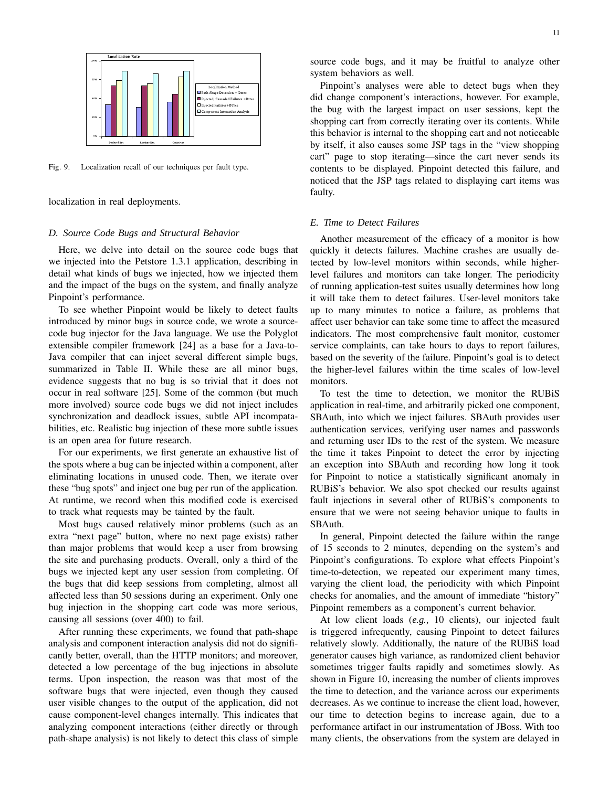

Fig. 9. Localization recall of our techniques per fault type.

localization in real deployments.

#### *D. Source Code Bugs and Structural Behavior*

Here, we delve into detail on the source code bugs that we injected into the Petstore 1.3.1 application, describing in detail what kinds of bugs we injected, how we injected them and the impact of the bugs on the system, and finally analyze Pinpoint's performance.

To see whether Pinpoint would be likely to detect faults introduced by minor bugs in source code, we wrote a sourcecode bug injector for the Java language. We use the Polyglot extensible compiler framework [24] as a base for a Java-to-Java compiler that can inject several different simple bugs, summarized in Table II. While these are all minor bugs, evidence suggests that no bug is so trivial that it does not occur in real software [25]. Some of the common (but much more involved) source code bugs we did not inject includes synchronization and deadlock issues, subtle API incompatabilities, etc. Realistic bug injection of these more subtle issues is an open area for future research.

For our experiments, we first generate an exhaustive list of the spots where a bug can be injected within a component, after eliminating locations in unused code. Then, we iterate over these "bug spots" and inject one bug per run of the application. At runtime, we record when this modified code is exercised to track what requests may be tainted by the fault.

Most bugs caused relatively minor problems (such as an extra "next page" button, where no next page exists) rather than major problems that would keep a user from browsing the site and purchasing products. Overall, only a third of the bugs we injected kept any user session from completing. Of the bugs that did keep sessions from completing, almost all affected less than 50 sessions during an experiment. Only one bug injection in the shopping cart code was more serious, causing all sessions (over 400) to fail.

After running these experiments, we found that path-shape analysis and component interaction analysis did not do significantly better, overall, than the HTTP monitors; and moreover, detected a low percentage of the bug injections in absolute terms. Upon inspection, the reason was that most of the software bugs that were injected, even though they caused user visible changes to the output of the application, did not cause component-level changes internally. This indicates that analyzing component interactions (either directly or through path-shape analysis) is not likely to detect this class of simple

Pinpoint's analyses were able to detect bugs when they did change component's interactions, however. For example, the bug with the largest impact on user sessions, kept the shopping cart from correctly iterating over its contents. While this behavior is internal to the shopping cart and not noticeable by itself, it also causes some JSP tags in the "view shopping cart" page to stop iterating—since the cart never sends its contents to be displayed. Pinpoint detected this failure, and noticed that the JSP tags related to displaying cart items was faulty.

## *E. Time to Detect Failures*

Another measurement of the efficacy of a monitor is how quickly it detects failures. Machine crashes are usually detected by low-level monitors within seconds, while higherlevel failures and monitors can take longer. The periodicity of running application-test suites usually determines how long it will take them to detect failures. User-level monitors take up to many minutes to notice a failure, as problems that affect user behavior can take some time to affect the measured indicators. The most comprehensive fault monitor, customer service complaints, can take hours to days to report failures, based on the severity of the failure. Pinpoint's goal is to detect the higher-level failures within the time scales of low-level monitors.

To test the time to detection, we monitor the RUBiS application in real-time, and arbitrarily picked one component, SBAuth, into which we inject failures. SBAuth provides user authentication services, verifying user names and passwords and returning user IDs to the rest of the system. We measure the time it takes Pinpoint to detect the error by injecting an exception into SBAuth and recording how long it took for Pinpoint to notice a statistically significant anomaly in RUBiS's behavior. We also spot checked our results against fault injections in several other of RUBiS's components to ensure that we were not seeing behavior unique to faults in SBAuth.

In general, Pinpoint detected the failure within the range of 15 seconds to 2 minutes, depending on the system's and Pinpoint's configurations. To explore what effects Pinpoint's time-to-detection, we repeated our experiment many times, varying the client load, the periodicity with which Pinpoint checks for anomalies, and the amount of immediate "history" Pinpoint remembers as a component's current behavior.

At low client loads (*e.g.,* 10 clients), our injected fault is triggered infrequently, causing Pinpoint to detect failures relatively slowly. Additionally, the nature of the RUBiS load generator causes high variance, as randomized client behavior sometimes trigger faults rapidly and sometimes slowly. As shown in Figure 10, increasing the number of clients improves the time to detection, and the variance across our experiments decreases. As we continue to increase the client load, however, our time to detection begins to increase again, due to a performance artifact in our instrumentation of JBoss. With too many clients, the observations from the system are delayed in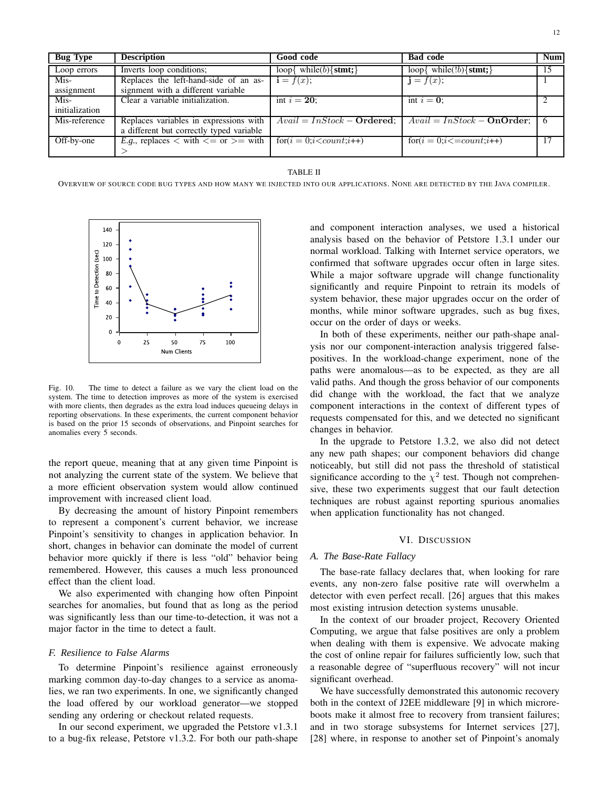| <b>Bug Type</b> | <b>Description</b>                                        | Good code                         | <b>Bad</b> code                 | <b>Num</b> |
|-----------------|-----------------------------------------------------------|-----------------------------------|---------------------------------|------------|
| Loop errors     | Inverts loop conditions;                                  | $loop\{ \text{while}(b) \}$ stmt; | $loop\{ while (!b)\}$ stmt;     | 15         |
| Mis-            | Replaces the left-hand-side of an as-                     | $\mathbf{i} = f(x);$              | $\mathbf{j} = f(x);$            |            |
| assignment      | signment with a different variable                        |                                   |                                 |            |
| Mis-            | Clear a variable initialization.                          | int $i = 20$ ;                    | int $i = 0$ ;                   |            |
| initialization  |                                                           |                                   |                                 |            |
| Mis-reference   | Replaces variables in expressions with                    | $Avail = InStock - Ordered:$      | $Available In Stock - OnOrder;$ |            |
|                 | a different but correctly typed variable                  |                                   |                                 |            |
| Off-by-one      | <i>E.g.</i> , replaces $\lt$ with $\lt$ = or $\gt$ = with | $for(i = 0; i < count; i++)$      | $for (i = 0; i < = count; i++)$ |            |
|                 |                                                           |                                   |                                 |            |

TABLE II

OVERVIEW OF SOURCE CODE BUG TYPES AND HOW MANY WE INJECTED INTO OUR APPLICATIONS. NONE ARE DETECTED BY THE JAVA COMPILER.



Fig. 10. The time to detect a failure as we vary the client load on the system. The time to detection improves as more of the system is exercised with more clients, then degrades as the extra load induces queueing delays in reporting observations. In these experiments, the current component behavior is based on the prior 15 seconds of observations, and Pinpoint searches for anomalies every 5 seconds.

the report queue, meaning that at any given time Pinpoint is not analyzing the current state of the system. We believe that a more efficient observation system would allow continued improvement with increased client load.

By decreasing the amount of history Pinpoint remembers to represent a component's current behavior, we increase Pinpoint's sensitivity to changes in application behavior. In short, changes in behavior can dominate the model of current behavior more quickly if there is less "old" behavior being remembered. However, this causes a much less pronounced effect than the client load.

We also experimented with changing how often Pinpoint searches for anomalies, but found that as long as the period was significantly less than our time-to-detection, it was not a major factor in the time to detect a fault.

## *F. Resilience to False Alarms*

To determine Pinpoint's resilience against erroneously marking common day-to-day changes to a service as anomalies, we ran two experiments. In one, we significantly changed the load offered by our workload generator—we stopped sending any ordering or checkout related requests.

In our second experiment, we upgraded the Petstore v1.3.1 to a bug-fix release, Petstore v1.3.2. For both our path-shape

and component interaction analyses, we used a historical analysis based on the behavior of Petstore 1.3.1 under our normal workload. Talking with Internet service operators, we confirmed that software upgrades occur often in large sites. While a major software upgrade will change functionality significantly and require Pinpoint to retrain its models of system behavior, these major upgrades occur on the order of months, while minor software upgrades, such as bug fixes, occur on the order of days or weeks.

In both of these experiments, neither our path-shape analysis nor our component-interaction analysis triggered falsepositives. In the workload-change experiment, none of the paths were anomalous—as to be expected, as they are all valid paths. And though the gross behavior of our components did change with the workload, the fact that we analyze component interactions in the context of different types of requests compensated for this, and we detected no significant changes in behavior.

In the upgrade to Petstore 1.3.2, we also did not detect any new path shapes; our component behaviors did change noticeably, but still did not pass the threshold of statistical significance according to the  $\chi^2$  test. Though not comprehensive, these two experiments suggest that our fault detection techniques are robust against reporting spurious anomalies when application functionality has not changed.

#### VI. DISCUSSION

## *A. The Base-Rate Fallacy*

The base-rate fallacy declares that, when looking for rare events, any non-zero false positive rate will overwhelm a detector with even perfect recall. [26] argues that this makes most existing intrusion detection systems unusable.

In the context of our broader project, Recovery Oriented Computing, we argue that false positives are only a problem when dealing with them is expensive. We advocate making the cost of online repair for failures sufficiently low, such that a reasonable degree of "superfluous recovery" will not incur significant overhead.

We have successfully demonstrated this autonomic recovery both in the context of J2EE middleware [9] in which microreboots make it almost free to recovery from transient failures; and in two storage subsystems for Internet services [27], [28] where, in response to another set of Pinpoint's anomaly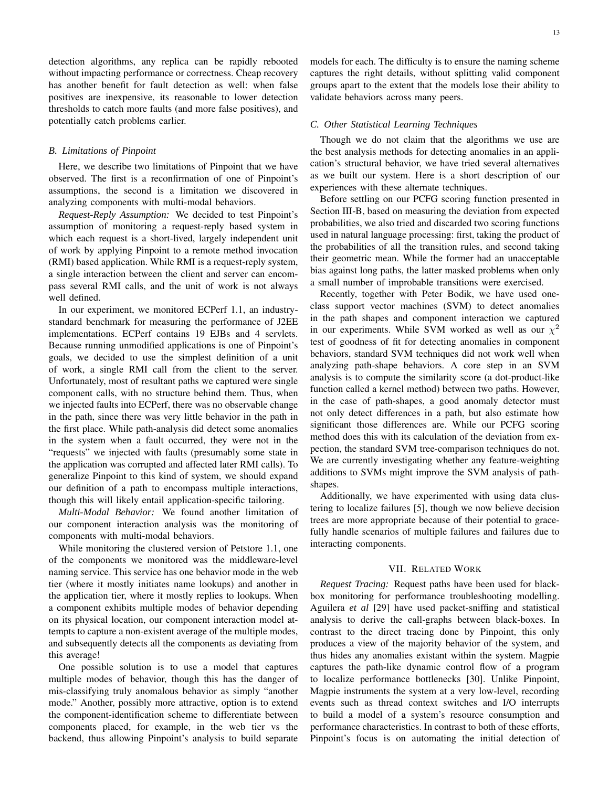detection algorithms, any replica can be rapidly rebooted without impacting performance or correctness. Cheap recovery has another benefit for fault detection as well: when false positives are inexpensive, its reasonable to lower detection thresholds to catch more faults (and more false positives), and potentially catch problems earlier.

#### *B. Limitations of Pinpoint*

Here, we describe two limitations of Pinpoint that we have observed. The first is a reconfirmation of one of Pinpoint's assumptions, the second is a limitation we discovered in analyzing components with multi-modal behaviors.

*Request-Reply Assumption:* We decided to test Pinpoint's assumption of monitoring a request-reply based system in which each request is a short-lived, largely independent unit of work by applying Pinpoint to a remote method invocation (RMI) based application. While RMI is a request-reply system, a single interaction between the client and server can encompass several RMI calls, and the unit of work is not always well defined.

In our experiment, we monitored ECPerf 1.1, an industrystandard benchmark for measuring the performance of J2EE implementations. ECPerf contains 19 EJBs and 4 servlets. Because running unmodified applications is one of Pinpoint's goals, we decided to use the simplest definition of a unit of work, a single RMI call from the client to the server. Unfortunately, most of resultant paths we captured were single component calls, with no structure behind them. Thus, when we injected faults into ECPerf, there was no observable change in the path, since there was very little behavior in the path in the first place. While path-analysis did detect some anomalies in the system when a fault occurred, they were not in the "requests" we injected with faults (presumably some state in the application was corrupted and affected later RMI calls). To generalize Pinpoint to this kind of system, we should expand our definition of a path to encompass multiple interactions, though this will likely entail application-specific tailoring.

*Multi-Modal Behavior:* We found another limitation of our component interaction analysis was the monitoring of components with multi-modal behaviors.

While monitoring the clustered version of Petstore 1.1, one of the components we monitored was the middleware-level naming service. This service has one behavior mode in the web tier (where it mostly initiates name lookups) and another in the application tier, where it mostly replies to lookups. When a component exhibits multiple modes of behavior depending on its physical location, our component interaction model attempts to capture a non-existent average of the multiple modes, and subsequently detects all the components as deviating from this average!

One possible solution is to use a model that captures multiple modes of behavior, though this has the danger of mis-classifying truly anomalous behavior as simply "another mode." Another, possibly more attractive, option is to extend the component-identification scheme to differentiate between components placed, for example, in the web tier vs the backend, thus allowing Pinpoint's analysis to build separate models for each. The difficulty is to ensure the naming scheme captures the right details, without splitting valid component groups apart to the extent that the models lose their ability to validate behaviors across many peers.

#### *C. Other Statistical Learning Techniques*

Though we do not claim that the algorithms we use are the best analysis methods for detecting anomalies in an application's structural behavior, we have tried several alternatives as we built our system. Here is a short description of our experiences with these alternate techniques.

Before settling on our PCFG scoring function presented in Section III-B, based on measuring the deviation from expected probabilities, we also tried and discarded two scoring functions used in natural language processing: first, taking the product of the probabilities of all the transition rules, and second taking their geometric mean. While the former had an unacceptable bias against long paths, the latter masked problems when only a small number of improbable transitions were exercised.

Recently, together with Peter Bodik, we have used oneclass support vector machines (SVM) to detect anomalies in the path shapes and component interaction we captured in our experiments. While SVM worked as well as our  $\chi^2$ test of goodness of fit for detecting anomalies in component behaviors, standard SVM techniques did not work well when analyzing path-shape behaviors. A core step in an SVM analysis is to compute the similarity score (a dot-product-like function called a kernel method) between two paths. However, in the case of path-shapes, a good anomaly detector must not only detect differences in a path, but also estimate how significant those differences are. While our PCFG scoring method does this with its calculation of the deviation from expection, the standard SVM tree-comparison techniques do not. We are currently investigating whether any feature-weighting additions to SVMs might improve the SVM analysis of pathshapes.

Additionally, we have experimented with using data clustering to localize failures [5], though we now believe decision trees are more appropriate because of their potential to gracefully handle scenarios of multiple failures and failures due to interacting components.

## VII. RELATED WORK

*Request Tracing:* Request paths have been used for blackbox monitoring for performance troubleshooting modelling. Aguilera *et al* [29] have used packet-sniffing and statistical analysis to derive the call-graphs between black-boxes. In contrast to the direct tracing done by Pinpoint, this only produces a view of the majority behavior of the system, and thus hides any anomalies existant within the system. Magpie captures the path-like dynamic control flow of a program to localize performance bottlenecks [30]. Unlike Pinpoint, Magpie instruments the system at a very low-level, recording events such as thread context switches and I/O interrupts to build a model of a system's resource consumption and performance characteristics. In contrast to both of these efforts, Pinpoint's focus is on automating the initial detection of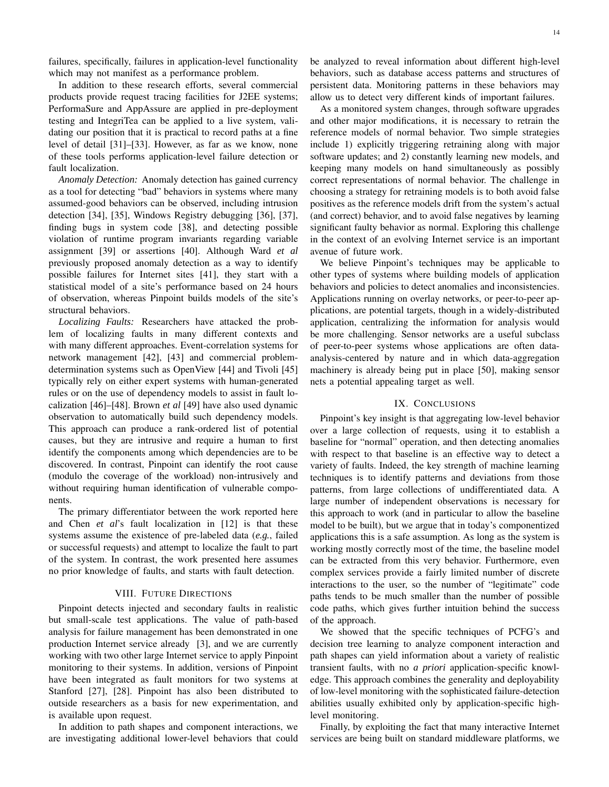failures, specifically, failures in application-level functionality which may not manifest as a performance problem.

In addition to these research efforts, several commercial products provide request tracing facilities for J2EE systems; PerformaSure and AppAssure are applied in pre-deployment testing and IntegriTea can be applied to a live system, validating our position that it is practical to record paths at a fine level of detail [31]–[33]. However, as far as we know, none of these tools performs application-level failure detection or fault localization.

*Anomaly Detection:* Anomaly detection has gained currency as a tool for detecting "bad" behaviors in systems where many assumed-good behaviors can be observed, including intrusion detection [34], [35], Windows Registry debugging [36], [37], finding bugs in system code [38], and detecting possible violation of runtime program invariants regarding variable assignment [39] or assertions [40]. Although Ward *et al* previously proposed anomaly detection as a way to identify possible failures for Internet sites [41], they start with a statistical model of a site's performance based on 24 hours of observation, whereas Pinpoint builds models of the site's structural behaviors.

*Localizing Faults:* Researchers have attacked the problem of localizing faults in many different contexts and with many different approaches. Event-correlation systems for network management [42], [43] and commercial problemdetermination systems such as OpenView [44] and Tivoli [45] typically rely on either expert systems with human-generated rules or on the use of dependency models to assist in fault localization [46]–[48]. Brown *et al* [49] have also used dynamic observation to automatically build such dependency models. This approach can produce a rank-ordered list of potential causes, but they are intrusive and require a human to first identify the components among which dependencies are to be discovered. In contrast, Pinpoint can identify the root cause (modulo the coverage of the workload) non-intrusively and without requiring human identification of vulnerable components.

The primary differentiator between the work reported here and Chen *et al*'s fault localization in [12] is that these systems assume the existence of pre-labeled data (*e.g.*, failed or successful requests) and attempt to localize the fault to part of the system. In contrast, the work presented here assumes no prior knowledge of faults, and starts with fault detection.

## VIII. FUTURE DIRECTIONS

Pinpoint detects injected and secondary faults in realistic but small-scale test applications. The value of path-based analysis for failure management has been demonstrated in one production Internet service already [3], and we are currently working with two other large Internet service to apply Pinpoint monitoring to their systems. In addition, versions of Pinpoint have been integrated as fault monitors for two systems at Stanford [27], [28]. Pinpoint has also been distributed to outside researchers as a basis for new experimentation, and is available upon request.

In addition to path shapes and component interactions, we are investigating additional lower-level behaviors that could be analyzed to reveal information about different high-level behaviors, such as database access patterns and structures of persistent data. Monitoring patterns in these behaviors may allow us to detect very different kinds of important failures.

As a monitored system changes, through software upgrades and other major modifications, it is necessary to retrain the reference models of normal behavior. Two simple strategies include 1) explicitly triggering retraining along with major software updates; and 2) constantly learning new models, and keeping many models on hand simultaneously as possibly correct representations of normal behavior. The challenge in choosing a strategy for retraining models is to both avoid false positives as the reference models drift from the system's actual (and correct) behavior, and to avoid false negatives by learning significant faulty behavior as normal. Exploring this challenge in the context of an evolving Internet service is an important avenue of future work.

We believe Pinpoint's techniques may be applicable to other types of systems where building models of application behaviors and policies to detect anomalies and inconsistencies. Applications running on overlay networks, or peer-to-peer applications, are potential targets, though in a widely-distributed application, centralizing the information for analysis would be more challenging. Sensor networks are a useful subclass of peer-to-peer systems whose applications are often dataanalysis-centered by nature and in which data-aggregation machinery is already being put in place [50], making sensor nets a potential appealing target as well.

## IX. CONCLUSIONS

Pinpoint's key insight is that aggregating low-level behavior over a large collection of requests, using it to establish a baseline for "normal" operation, and then detecting anomalies with respect to that baseline is an effective way to detect a variety of faults. Indeed, the key strength of machine learning techniques is to identify patterns and deviations from those patterns, from large collections of undifferentiated data. A large number of independent observations is necessary for this approach to work (and in particular to allow the baseline model to be built), but we argue that in today's componentized applications this is a safe assumption. As long as the system is working mostly correctly most of the time, the baseline model can be extracted from this very behavior. Furthermore, even complex services provide a fairly limited number of discrete interactions to the user, so the number of "legitimate" code paths tends to be much smaller than the number of possible code paths, which gives further intuition behind the success of the approach.

We showed that the specific techniques of PCFG's and decision tree learning to analyze component interaction and path shapes can yield information about a variety of realistic transient faults, with no *a priori* application-specific knowledge. This approach combines the generality and deployability of low-level monitoring with the sophisticated failure-detection abilities usually exhibited only by application-specific highlevel monitoring.

Finally, by exploiting the fact that many interactive Internet services are being built on standard middleware platforms, we